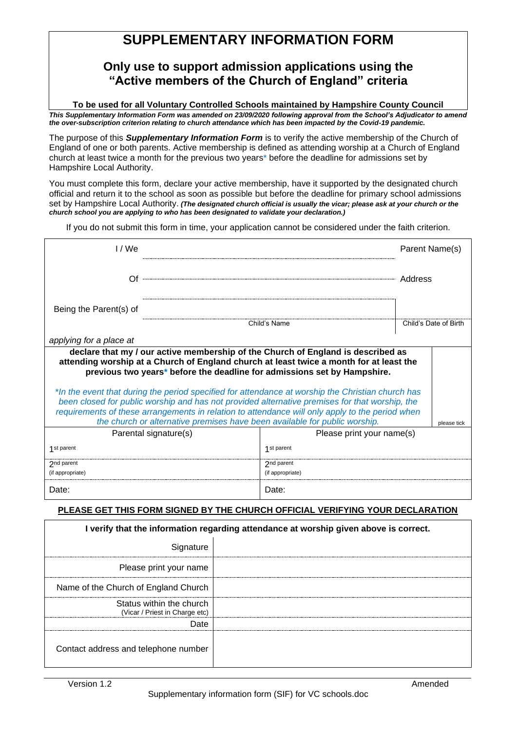# **SUPPLEMENTARY INFORMATION FORM**

## **Only use to support admission applications using the "Active members of the Church of England" criteria**

**To be used for all Voluntary Controlled Schools maintained by Hampshire County Council** *This Supplementary Information Form was amended on 23/09/2020 following approval from the School's Adjudicator to amend the over-subscription criterion relating to church attendance which has been impacted by the Covid-19 pandemic.* 

The purpose of this *Supplementary Information Form* is to verify the active membership of the Church of England of one or both parents. Active membership is defined as attending worship at a Church of England church at least twice a month for the previous two years\* before the deadline for admissions set by Hampshire Local Authority.

You must complete this form, declare your active membership, have it supported by the designated church official and return it to the school as soon as possible but before the deadline for primary school admissions set by Hampshire Local Authority. *(The designated church official is usually the vicar; please ask at your church or the church school you are applying to who has been designated to validate your declaration.)*

If you do not submit this form in time, your application cannot be considered under the faith criterion.

| 1/We                                                                                                                                                                                                                                                                                                                                                                                                                                                                                                                                                                                                                                                           |                           | Parent Name(s)        |  |  |
|----------------------------------------------------------------------------------------------------------------------------------------------------------------------------------------------------------------------------------------------------------------------------------------------------------------------------------------------------------------------------------------------------------------------------------------------------------------------------------------------------------------------------------------------------------------------------------------------------------------------------------------------------------------|---------------------------|-----------------------|--|--|
| ( )t                                                                                                                                                                                                                                                                                                                                                                                                                                                                                                                                                                                                                                                           |                           | Address               |  |  |
| Being the Parent(s) of                                                                                                                                                                                                                                                                                                                                                                                                                                                                                                                                                                                                                                         |                           |                       |  |  |
|                                                                                                                                                                                                                                                                                                                                                                                                                                                                                                                                                                                                                                                                | Child's Name              | Child's Date of Birth |  |  |
| applying for a place at                                                                                                                                                                                                                                                                                                                                                                                                                                                                                                                                                                                                                                        |                           |                       |  |  |
| declare that my / our active membership of the Church of England is described as<br>attending worship at a Church of England church at least twice a month for at least the<br>previous two years* before the deadline for admissions set by Hampshire.<br>*In the event that during the period specified for attendance at worship the Christian church has<br>been closed for public worship and has not provided alternative premises for that worship, the<br>requirements of these arrangements in relation to attendance will only apply to the period when<br>the church or alternative premises have been available for public worship.<br>please tick |                           |                       |  |  |
| Parental signature(s)                                                                                                                                                                                                                                                                                                                                                                                                                                                                                                                                                                                                                                          | Please print your name(s) |                       |  |  |
| 1 <sub>st</sub> parent                                                                                                                                                                                                                                                                                                                                                                                                                                                                                                                                                                                                                                         | 1 <sub>st</sub> parent    |                       |  |  |
| 2nd parent                                                                                                                                                                                                                                                                                                                                                                                                                                                                                                                                                                                                                                                     | 2nd parent                |                       |  |  |
| (if appropriate)                                                                                                                                                                                                                                                                                                                                                                                                                                                                                                                                                                                                                                               | (if appropriate)          |                       |  |  |
| Date:                                                                                                                                                                                                                                                                                                                                                                                                                                                                                                                                                                                                                                                          | Date:                     |                       |  |  |

#### **PLEASE GET THIS FORM SIGNED BY THE CHURCH OFFICIAL VERIFYING YOUR DECLARATION**

| I verify that the information regarding attendance at worship given above is correct. |  |  |  |
|---------------------------------------------------------------------------------------|--|--|--|
| Signature                                                                             |  |  |  |
| Please print your name                                                                |  |  |  |
| Name of the Church of England Church                                                  |  |  |  |
| Status within the church<br>(Vicar / Priest in Charge etc)                            |  |  |  |
| Date                                                                                  |  |  |  |
| Contact address and telephone number                                                  |  |  |  |